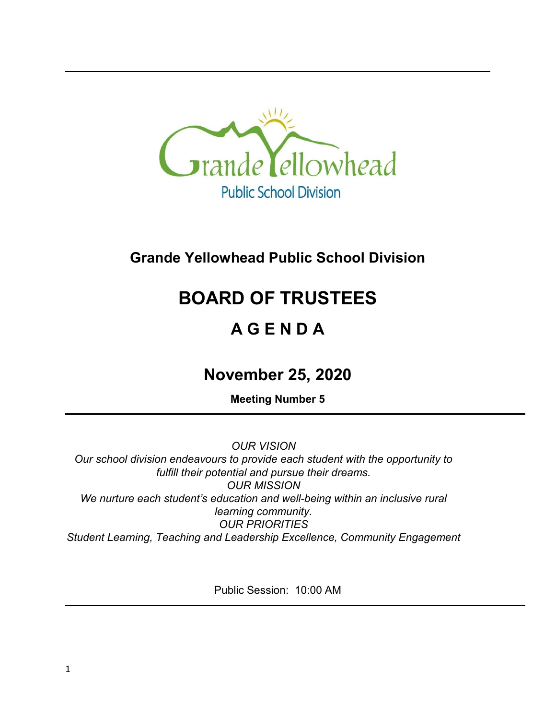

## **Grande Yellowhead Public School Division**

# **BOARD OF TRUSTEES**

## **A G E N D A**

## **November 25, 2020**

**Meeting Number 5**

*OUR VISION Our school division endeavours to provide each student with the opportunity to fulfill their potential and pursue their dreams. OUR MISSION We nurture each student's education and well-being within an inclusive rural learning community. OUR PRIORITIES Student Learning, Teaching and Leadership Excellence, Community Engagement*

Public Session: 10:00 AM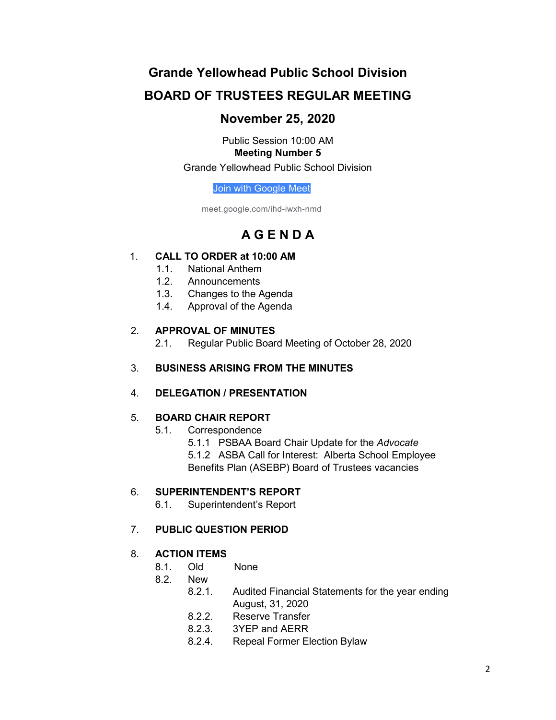### **Grande Yellowhead Public School Division**

### **BOARD OF TRUSTEES REGULAR MEETING**

### **November 25, 2020**

Public Session 10:00 AM **Meeting Number 5** Grande Yellowhead Public School Division

[Join with Google Meet](https://meet.google.com/ihd-iwxh-nmd?authuser=0&hs=122)

meet.google.com/ihd-iwxh-nmd

## **A G E N D A**

#### 1. **CALL TO ORDER at 10:00 AM**

- 1.1. National Anthem
- 1.2. Announcements
- 1.3. Changes to the Agenda
- 1.4. Approval of the Agenda

#### 2. **APPROVAL OF MINUTES**

2.1. Regular Public Board Meeting of October 28, 2020

#### 3. **BUSINESS ARISING FROM THE MINUTES**

#### 4. **DELEGATION / PRESENTATION**

#### 5. **BOARD CHAIR REPORT**

- 5.1. Correspondence
	- 5.1.1 PSBAA Board Chair Update for the *Advocate*
	- 5.1.2 ASBA Call for Interest: Alberta School Employee

Benefits Plan (ASEBP) Board of Trustees vacancies

#### 6. **SUPERINTENDENT'S REPORT**

6.1. Superintendent's Report

#### 7. **PUBLIC QUESTION PERIOD**

#### 8. **ACTION ITEMS**

- 8.1. Old None
- 8.2. New
	- 8.2.1. Audited Financial Statements for the year ending August, 31, 2020
	- 8.2.2. Reserve Transfer
	- 8.2.3. 3YEP and AERR
	- 8.2.4. Repeal Former Election Bylaw